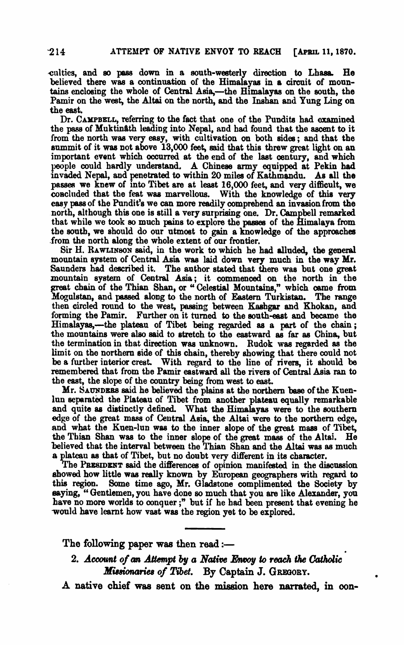culties, and so pass down in a south-westerly direction to Lhasa. He believed there was a continuation of the Himalayas in a circuit of mountains enclosing the whole of Central Asia,-the Himalayas on the south, the Pamir on the west, the Altai on the north, and the Inshan and Yung Ling on the east.

Dr. **CAWBELL,** referring to the fact that one of the Pundits had axamined the pass of Muktinath leading into Nepal, and had found that the ascent to it from the north was very easy, with cultivation on both sides; and that the summit of it was not above 13,000 feet, said that this threw great light on an important event which occurred at the end of the last century, and which people could hardly understand. A Chinese army equipped at Pekin had invaded Nepal, and penetrated **to** within **20** miles of Kathmandu. *Be* all the passes we knew of into Tibet are at least 16,000 feet, and very difficult, we concluded that the feat was marvellous. With the knowledge of this very easy pass of the Pundit's we can more readily comprehend an invasion from the north, although this one is still a very surprising one. Dr. Campbell remarked that while we took so much pains to explore the passes of the Himalaya from the south, we should do our utmost to gain a knowledge of the approaches from the north along the whole extent of our frontier.<br>Sir H. RAWLINSON said, in the work to which he had alluded, the general

mountain system of Central Asia was laid down very much in the way Mr. Saunders had described it. The author stated that there was but one great Saundem **had** described it. The author stated that there was but one great mountain system of **Chtral Ah;** it **commenced** on the north in the great chain of the Thian Shan, or "Celestial Mountains," which came from **Mogulsten,** and **paaeed** along to the north of Eastern **Turgistan.** The range then circled round to the west, paseing between Kashgar and Khokan, and Further on it turned to the south-east and became the Himalayas,-the plateau of Tibet being regarded as a part of the chain; the mountains were also said to stretch to the eastward as far as China, but the termination in that direction was unknown. Rudok was regarded **as** the limit on the northern side of this chain, thereby showing that there could not be a further interior crest. With regard to the line of rivers, it should be remembered that from the Pamir eastward all the rivere of Central Bei **ran** to the **east,** the slope of the country **being** from weat to **east.** 

Mr. SAUNDERS said he believed the plains at the northern base of the Kuen-<br>lun separated the Plateau of Tibet from another plateau equally remarkable and quite as distinctly defined. What the Himalayas were to the southern edge of the great maes of Central Ama, the Altai **were** to the northern edge, and what the Kuen-lun was to the inner slope of the great maap of l'ibet, the Thian Shan was to the inner slope of the great mass of the Altai. He believed that the interval between the Thian Shan and the Altai was as much a plateau as that of Tibet, but no doubt very different in its character.

The PRESIDENT said the differences of opinion manifested in the discussion showed how little was really known by European geographers with regard to this region. Some time ago, Mr. Gladstone complimented the Society by saying, "Gentlemen, you have done so much that you are like Alexander, you have no more worlds to conquer;" but if he had been present that evening he would have learnt how vaet **was** the region yet to be explored.

The following paper was then read :-

**2.** Account of an Attempt by a Native Envoy to reach the Catholic *Missionaries of Tibet.* By Captain J. GREGORY.

**A native ohief was sent** on the mimion here narrated, in **oon-**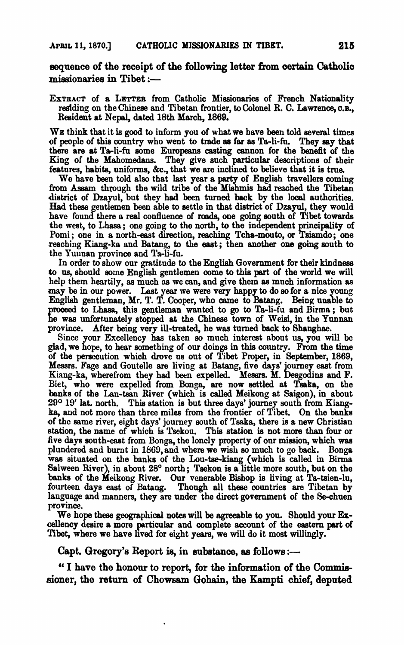**eequence of the receipt of the following let& from oertain Catholio rnieeionaries in Tibet** :-

## **EXTBACT** of a LETTEB from Catholic Missionaries of French Nationality reaiding on the **Chineee** and Tibetan frontier, to Colonel R. **0.** Lawrence, **o.B.,**  Resident at Nepal, dated 18th March, 1869.

WE think that it is good to inform you of what we have been told several times of people of thia country who went to trade as far **aa** Ta-li-fa They say that there are at Ta-li-fu some Europeans casting cannon for the benefit of the King of the Mahomedans. They give such particular descriptions of their features, habits, uniforms, &c., that we are inclined to believe that it is true.<br>We have been told also that last year a party of English travellers coming

from Assam through the wild tribe of the Mishmis had reached the Tibetan district of Dzayul, but they had been turned back by the local authorities. Had these geutlemen been able to settle in that district of Dzayul, they would have found there a real confluence of roads, one going south of Tibet towards the west, to Lhasa; one going to the north, to the independent principality of Pomi; one in a north-east direction, reaching Tcha-mouto, or Tsiamdo; one reaching Kiang-ka and Batang, to the east; then another one going south to the Yunnan province and Ta-li-fu.

In order to show our gratitude to the English Government for their kindness to us, should some English gentlemen come to this part of the world we will help them heartily, as much as we can, and give them as much information as may be in our power. Last year we were very happy to do so for a nice young<br>English gentleman, Mr. T. T. Cooper, who came to Batang. Being unable to **roceed** to **Lhaaa,** this gentleman wanted to **go** to Ta-li-fu and Birma; but he was unfortunately stopped at the Chinese town of Weisi, in the Yunnan province. After being very ill-treated, he was turned back to Shanghae.

province. After being very ill-treated, he ww turned back to Shanghae. Since your Excellency **has** taken so much interest about **us,** you will be glad, we hope, to hear something of our doings in this **country.** From the time of the perseoution which drove us out of l'ibet Proper, in September, 1869, Messrs. Fage and Goutelle are living at Batang, five days' journey east from Kinng-ka, wherefrom they had been expelled. Messrs. M. Desgodins and **F**. Biet, who were expelled from Bonga, are now settled at Tsaka, on the banks of the Lan-taan River (which is **called** Meikong at Saigon), in about *2g0* 19' ht. north. This station is but three days' journey south from Kiang**ka,** and not more than three miles from the frontier of Tibet. On the **banks**  of tho eame river, eigbt days' journey south of **Tsaka,** there is a new Christian five days south-east from Bonga, the loncly property of our mission, which was plundered and burnt in 1869, and where we wish so much to go back. Bonga was situated on the banks of the Lou-tse-kiang (which is called in Birma Salween River), in about **28"** north; Teekon is a little more south, but on the **banks** of the Meikong River. **Our** venerable Bishop is living at Ta-taien-ln, fourteen **days** east of **Batang.** Though all these countries are Tibetan by lanqage and manners, they are under the direct government of the Se-chuen province.

We hope these geographical notes will be agreeable to you. Should your **Ex**cellency desire a more particular and complete account of the eastern part of Tibet, where we have lived for eight years, we will do it most willingly.

**Cept. Qregory'e Report is, in substance, ae follows** :-

" **I have the honour to report, for the information of the Commiesioner, the** return **of Chowsam Gohain, the Kampti chief, deputed**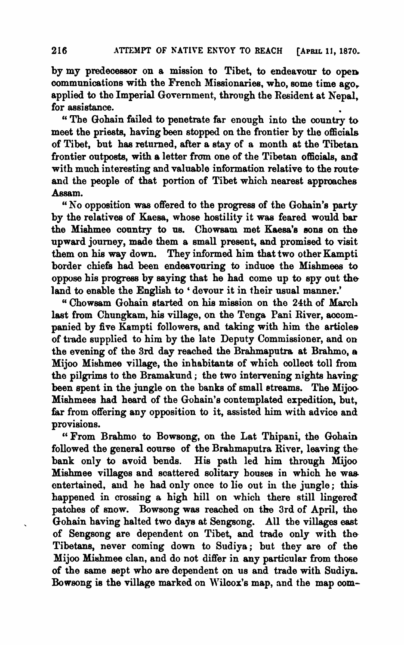by my predecessor on a mission to Tibet, to endeavour to open communications with the French Missionaries, who, some time ago. applied to tho Imperial Government, through the Resident at Nepal, for assistance.

**"** The Gohain failed to penetrate far enough into the country to meet the prieata, having been stopped on the frontier by the officials of Tibet, but has returned, after a stay of a month at the Tibetan frontier outposts, with a letter from one of the Tibetan officials, and with much interesting and valuable information relative to the route and the people of that portion of Tibet which nearest approaches Assam.

" KO opposition **was** offered to the progress of the Gohain's party by the relatives of Kaesa, whose hostility it **wss** feared would bar the Miahmee country to us. Chowsam met Kaesa's **sons** on the upward journey, made them a small present, and promised to visit them on his way down. They informed him that two other Kampti border chiefe had been endeavouring to induce the Mishmees to oppose his progress by saying that he had come up to spy out **the**  land to enable the English to ' devour it in their usual manner.'

" Chowmm Gohain started on **hie** mission on the 24th of **March**  last from Chungkam, his village, on the Tenga Pani River, accompanied by five Kampti followers, and taking with him the articles of trade supplied to him by the late Deputy Commissioner, and on the evening of the 3rd day reached the Brahmaputra at Brahmo, a Mijoo Mishmee village, the inhabitants of which collect toll from the pilgrims to the Bramakund ; the two intervening nights having been spent in the jungle on the banks of small etreams. The Mijoo Miahmees had heard of the Gohain's contemplated expedition, but, far from offering any opposition to it, assisted him with advice and provisions.

**l'** From Brahmo to Bowsong, on the Lat Thipani, the Gohain followed the general course of the Brahmaputra River, leaving the bank only to avoid bends. His path led him through Mijoo Miahmee villages and scattered solitary houses in which he wae entertained, **and** he had only once to lie out in the jungle; this happened in crossing a high hill on which there still lingered patches of snow. Bowsong was reached on the 3rd of April, the , Gohain having halted two daye at Sengsong. A11 the villages east of Sengsong are dependent on Tibet, and trade only with the Tibetans, never coming down to Sudiya; but they are of the Mijoo Mishmee clan, and do not differ in any particular from those of the same aept who are dependent on us and trade with Sudiya. Bowsong is the village marked on Wilcox's map, and the map com-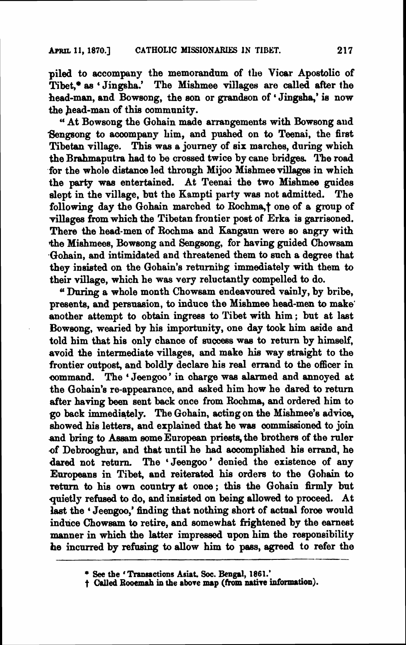piled to accompany the memorandum of the Vicar Apostolic of Tibet,<sup>\*</sup> as 'Jingsha.' The Mishmee villages are called after the bead-man, and Bowsong, the son or grandson of ' Jingsha,' is now the bead-man of this community.

At Bowsong the Gohain made arrangements with Bowsong aud Sengsong to accompany him, and pushed on to Teenai, the first Tibetan village. This was a journey of six marches, during which the Brahmaputra had to be crossed twice by cane bridges. The road .for the whole **distance** led through Mijoo Mishmee **villagee** in which the party **was** entertained. At Teenai the two Mishmee guides slept in the village, but the Kampti party was not admitted. The following day the Gohain marched to Rochma,t one of a group of **villagee** from which the Tibetan frontier post of Erka is garrisoned. There the head-men of Rochma and Kangaun were so angry with the Mishmees, Bowsong and Sengsong, for having guided Chowsam Gohain, and intimidated and threatened them to mch a degree that they insisted on the Gohain's returning immediately with them to their village, which he **was** very reluctantly compelled to do.

\* lhuing a whole month Choweam endeavoured vainly, by bribe, presente, and persuasion, to induce the **Mishmee** head-men to make' another attempt to obtain ingress to Tibet with him; but at last Bowsong, wearied by his importunity, one day took him aside and told him that his only chance of **sncceas** was to return by himself, avoid the intermediate villages, and make **hie** way straight to the frontier outpost, and boldly declare his real errand to the officer in command. The ' Jeengoo' in charge was alarmed and annoyed at the Gohain's re-appearance, and asked him how he dared to return after having been sent **back** once **from** Rachma, and ordered him to go back immediately. The Gohain, acting on the Mishmee's advice, showed his letters, and explained that he was commissioned to join and bring to Assam some European priests, the brothers of the ruler of Debrooghur, and that until he had accomplished his errand, he dared not return. The 'Jeengoo' denied the existence of any Europeans in Tibet, and reiterated **hie** orders to the Gohain to return to his own country at once; this the Gohain firmly but quietly **refwed** to do, and inaided on **being** allowed to proceed. At **laet** the ' Jeengoo,' **finding** that nothing short of actual foroe would induce Chowsam to retire, end somewhat frightened by the earneet manner in which the latter impressed upon him the responsibility be incmd by refusing to allow him to **pass,** agreed to refer the

<sup>\*</sup> See the 'Transactions Asiat, Soc. Bengal, 1861.'

 $\dagger$  **Called Rooemah in the above map (from native information).**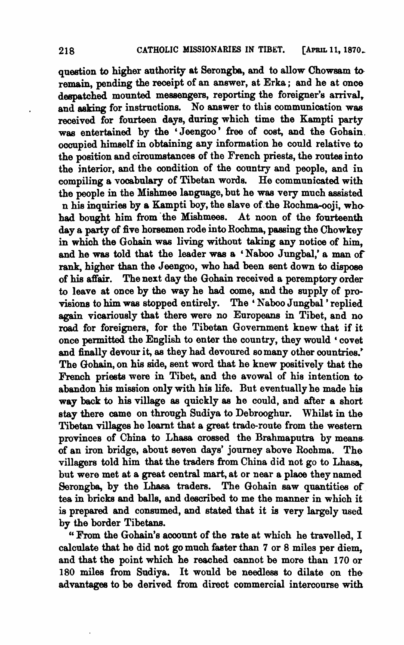question to higher authority at Serongba, and to allow Chowsam to remain, pending the receipt of an answer, at Erka ; and he at **once**  despatched mounted messengers, reporting the foreigner's arrival. and asking for instructions. No answer to this communication was received for fourteen days, during which time the Kampti party was entertained by the ' Jeengoo' free of **oat,** and the Gohain. occupied himself in obtaining any information he could relative to the position and ciroumetances of the French priests, the routes into the interior, and the condition of the country and people, and in compiling a vocabulary of Tibetan words. He communicated with the people in the Mishmee language, but he **was** very much assisted n hie inquiries by a Kampti boy, the slave of the Rochma-ooji, who had bought him from 'the Mishmees. At noon of the fourteenth **day** a party of five horsemen rode into **Rochma,** passing the Chowkey in which the Gohain was living without taking any notice of him. and he **was** told that the leader **was** <sup>a</sup>' Naboo Jungbal,' a **man** of rank, higher than the Jeengoo, who had been sent down to dispose of his affair. The next day the Gohain received a peremptory order The next day the Gohain received a peremptory order to leave at once by the way he had come, and the supply of provisions to him was stopped entirely. The 'Naboo Jungbal' replied again vicariously that there were no Europeans in Tibet, and no **road** for foreigners, for the **Tibetan** Government knew that if it once permitted the English to enter the country, they would 'covet and finally devour it, as they had devoured somany other countries.' The Qohain, on his side, sent word that he knew positively that the French priests were in Tibet, and the avowal of his intention to abandon his mission only **with** his life. But eventually he made hie way back to his village **ee** quickly **as** he could, and after a short stay there came on through Sudiya to Debrooghur. Whilst in the **Tibetan** villages he learnt that a great trade-route from the western provinces of China to Lhasa crossed the Brahmaputra by means of an iron bridge, about seven days' journey above Rochma, The villagers told him that the traders from China did not go to Lhasa, but were met at a great central mart, at or near a plaoe they named Serongba, by the Lhasa traders. The Gohain saw quantities of tea in bricks and balle, and described to me the manner in which it is prepared and consumed, and stated that it is very largely used by the border **Tibetam.** 

" From the Gohain's account of the rate at which he travelled, I calculate that he did not go much faster than 7 or 8 miles per diem, and that the point which he reached cannot be more than 170 or 180 miles from Sudiya. It would be needless to dilate on the **advantages** to be derived from direct commercial intercourse with